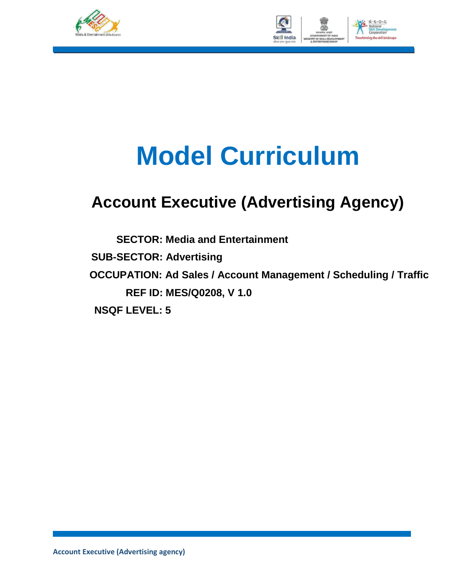



# **Model Curriculum**

# **Account Executive (Advertising Agency)**

**SECTOR: Media and Entertainment SUB-SECTOR: Advertising OCCUPATION: Ad Sales / Account Management / Scheduling / Traffic REF ID: MES/Q0208, V 1.0 NSQF LEVEL: 5**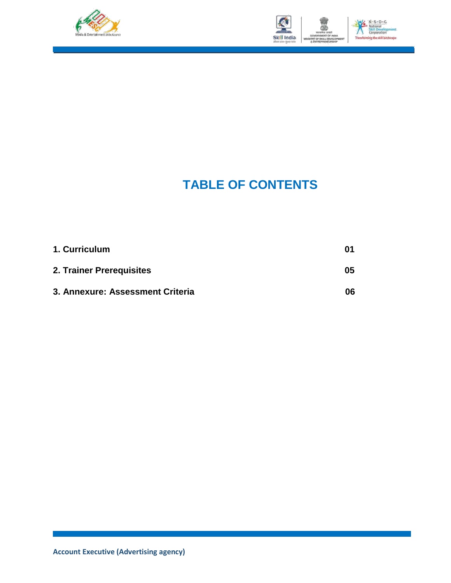



## **TABLE OF CONTENTS**

| 1. Curriculum                    | 01 |
|----------------------------------|----|
| 2. Trainer Prerequisites         | 05 |
| 3. Annexure: Assessment Criteria | 06 |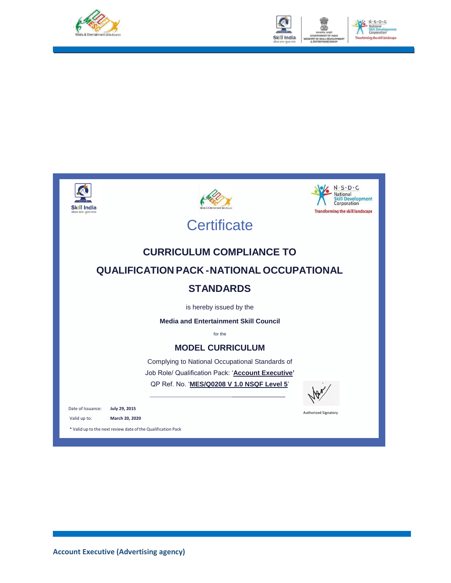









**Certificate** 

### **CURRICULUM COMPLIANCE TO QUALIFICATION PACK -NATIONAL OCCUPATIONAL STANDARDS**

is hereby issued by the

**Media and Entertainment Skill Council**

for the

#### **MODEL CURRICULUM**

Complying to National Occupational Standards of Job Role/ Qualification Pack: '**Account Executive'** QP Ref. No. '**MES/Q0208 V 1.0 NSQF Level 5**'



Authorized Signatory

Date of Issuance: **July 29, 2015**

Valid up to: **March 20, 2020**

\* Valid up to the next review date ofthe Qualification Pack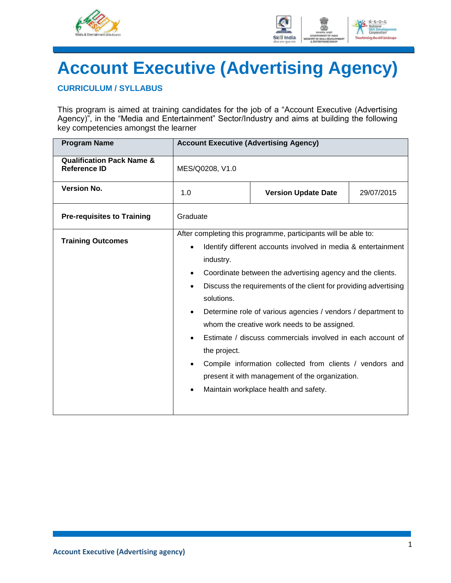



# **Account Executive (Advertising Agency)**

#### **CURRICULUM / SYLLABUS**

This program is aimed at training candidates for the job of a "Account Executive (Advertising Agency)", in the "Media and Entertainment" Sector/Industry and aims at building the following key competencies amongst the learner

| <b>Program Name</b>                                         | <b>Account Executive (Advertising Agency)</b>        |                                                                                                                                                                                                                                                                                                                                                                                                                                                                                                                                                                                                         |  |  |
|-------------------------------------------------------------|------------------------------------------------------|---------------------------------------------------------------------------------------------------------------------------------------------------------------------------------------------------------------------------------------------------------------------------------------------------------------------------------------------------------------------------------------------------------------------------------------------------------------------------------------------------------------------------------------------------------------------------------------------------------|--|--|
| <b>Qualification Pack Name &amp;</b><br><b>Reference ID</b> | MES/Q0208, V1.0                                      |                                                                                                                                                                                                                                                                                                                                                                                                                                                                                                                                                                                                         |  |  |
| <b>Version No.</b>                                          | 1.0<br><b>Version Update Date</b><br>29/07/2015      |                                                                                                                                                                                                                                                                                                                                                                                                                                                                                                                                                                                                         |  |  |
| <b>Pre-requisites to Training</b>                           | Graduate                                             |                                                                                                                                                                                                                                                                                                                                                                                                                                                                                                                                                                                                         |  |  |
| <b>Training Outcomes</b>                                    | industry.<br>$\bullet$<br>solutions.<br>the project. | After completing this programme, participants will be able to:<br>Identify different accounts involved in media & entertainment<br>Coordinate between the advertising agency and the clients.<br>Discuss the requirements of the client for providing advertising<br>Determine role of various agencies / vendors / department to<br>whom the creative work needs to be assigned.<br>Estimate / discuss commercials involved in each account of<br>Compile information collected from clients / vendors and<br>present it with management of the organization.<br>Maintain workplace health and safety. |  |  |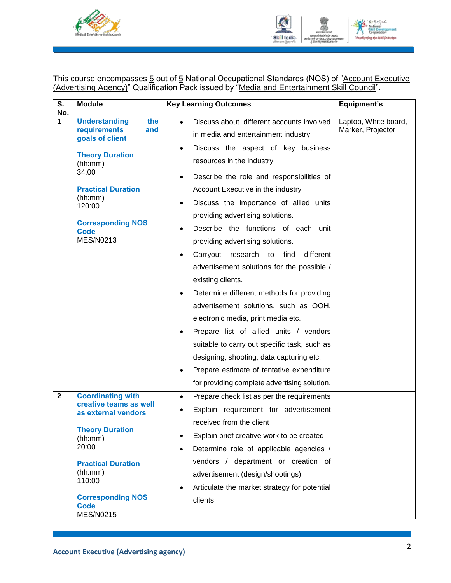



This course encompasses 5 out of 5 National Occupational Standards (NOS) of "Account Executive (Advertising Agency)" Qualification Pack issued by "Media and Entertainment Skill Council".

| $\overline{\mathsf{s}}$ . | <b>Module</b>                                                                                                                                                                                                                            | <b>Key Learning Outcomes</b>                                                                                                                                                                                                                                                                                                                                                                                                                                                                                                                                                                                                                                                                                                                                                                                                                                                                                                                      | <b>Equipment's</b>                        |
|---------------------------|------------------------------------------------------------------------------------------------------------------------------------------------------------------------------------------------------------------------------------------|---------------------------------------------------------------------------------------------------------------------------------------------------------------------------------------------------------------------------------------------------------------------------------------------------------------------------------------------------------------------------------------------------------------------------------------------------------------------------------------------------------------------------------------------------------------------------------------------------------------------------------------------------------------------------------------------------------------------------------------------------------------------------------------------------------------------------------------------------------------------------------------------------------------------------------------------------|-------------------------------------------|
| No.<br>1                  | <b>Understanding</b><br>the<br>requirements<br>and<br>goals of client<br><b>Theory Duration</b><br>(hh:mm)<br>34:00<br><b>Practical Duration</b><br>(hh:mm)<br>120:00<br><b>Corresponding NOS</b><br>Code<br>MES/N0213                   | Discuss about different accounts involved<br>$\bullet$<br>in media and entertainment industry<br>Discuss the aspect of key business<br>$\bullet$<br>resources in the industry<br>Describe the role and responsibilities of<br>Account Executive in the industry<br>Discuss the importance of allied units<br>$\bullet$<br>providing advertising solutions.<br>Describe the functions of each unit<br>providing advertising solutions.<br>different<br>Carryout<br>research to<br>find<br>advertisement solutions for the possible /<br>existing clients.<br>Determine different methods for providing<br>$\bullet$<br>advertisement solutions, such as OOH,<br>electronic media, print media etc.<br>Prepare list of allied units / vendors<br>suitable to carry out specific task, such as<br>designing, shooting, data capturing etc.<br>Prepare estimate of tentative expenditure<br>$\bullet$<br>for providing complete advertising solution. | Laptop, White board,<br>Marker, Projector |
| $\mathbf{2}$              | <b>Coordinating with</b><br>creative teams as well<br>as external vendors<br><b>Theory Duration</b><br>(hh:mm)<br>20:00<br><b>Practical Duration</b><br>(hh:mm)<br>110:00<br><b>Corresponding NOS</b><br><b>Code</b><br><b>MES/N0215</b> | Prepare check list as per the requirements<br>$\bullet$<br>Explain requirement for advertisement<br>٠<br>received from the client<br>Explain brief creative work to be created<br>$\bullet$<br>Determine role of applicable agencies /<br>٠<br>vendors / department or creation of<br>advertisement (design/shootings)<br>Articulate the market strategy for potential<br>$\bullet$<br>clients                                                                                                                                                                                                                                                                                                                                                                                                                                                                                                                                                    |                                           |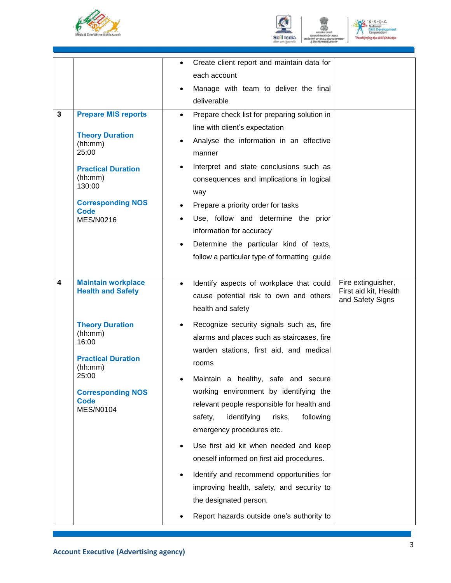





|                                                                                                                                                                                                                                                | Create client report and maintain data for<br>$\bullet$<br>each account<br>Manage with team to deliver the final<br>$\bullet$<br>deliverable                                                                                                                                                                                                                                                                                                                                                                                                                                                                                                                                                                        |                                                                 |
|------------------------------------------------------------------------------------------------------------------------------------------------------------------------------------------------------------------------------------------------|---------------------------------------------------------------------------------------------------------------------------------------------------------------------------------------------------------------------------------------------------------------------------------------------------------------------------------------------------------------------------------------------------------------------------------------------------------------------------------------------------------------------------------------------------------------------------------------------------------------------------------------------------------------------------------------------------------------------|-----------------------------------------------------------------|
| <b>Prepare MIS reports</b><br>3<br><b>Theory Duration</b><br>(hh:mm)<br>25:00<br><b>Practical Duration</b><br>(hh:mm)<br>130:00<br><b>Corresponding NOS</b><br>Code<br><b>MES/N0216</b>                                                        | Prepare check list for preparing solution in<br>$\bullet$<br>line with client's expectation<br>Analyse the information in an effective<br>$\bullet$<br>manner<br>Interpret and state conclusions such as<br>$\bullet$<br>consequences and implications in logical<br>way<br>Prepare a priority order for tasks<br>Use, follow and determine the prior<br>information for accuracy<br>Determine the particular kind of texts,<br>$\bullet$<br>follow a particular type of formatting guide                                                                                                                                                                                                                           |                                                                 |
| $\overline{\mathbf{4}}$<br><b>Maintain workplace</b><br><b>Health and Safety</b><br><b>Theory Duration</b><br>(hh:mm)<br>16:00<br><b>Practical Duration</b><br>(hh:mm)<br>25:00<br><b>Corresponding NOS</b><br><b>Code</b><br><b>MES/N0104</b> | Identify aspects of workplace that could<br>$\bullet$<br>cause potential risk to own and others<br>health and safety<br>Recognize security signals such as, fire<br>$\bullet$<br>alarms and places such as staircases, fire<br>warden stations, first aid, and medical<br>rooms<br>Maintain a healthy, safe and secure<br>working environment by identifying the<br>relevant people responsible for health and<br>identifying<br>following<br>safety,<br>risks,<br>emergency procedures etc.<br>Use first aid kit when needed and keep<br>oneself informed on first aid procedures.<br>Identify and recommend opportunities for<br>$\bullet$<br>improving health, safety, and security to<br>the designated person. | Fire extinguisher,<br>First aid kit, Health<br>and Safety Signs |
|                                                                                                                                                                                                                                                | Report hazards outside one's authority to                                                                                                                                                                                                                                                                                                                                                                                                                                                                                                                                                                                                                                                                           |                                                                 |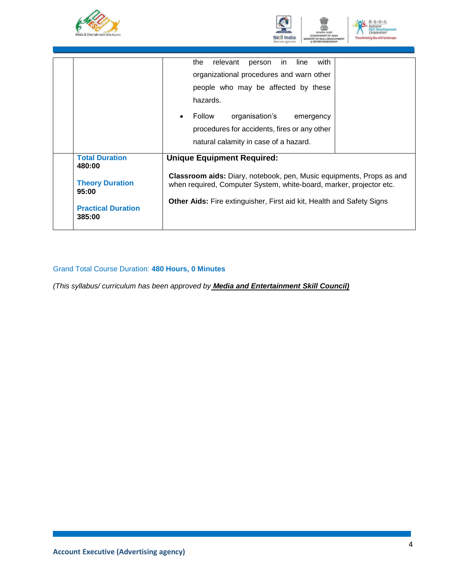





|                                                                                                           | with<br>the<br>relevant<br>line<br>in<br>person<br>organizational procedures and warn other<br>people who may be affected by these<br>hazards.<br>organisation's<br>Follow<br>emergency<br>$\bullet$<br>procedures for accidents, fires or any other<br>natural calamity in case of a hazard. |
|-----------------------------------------------------------------------------------------------------------|-----------------------------------------------------------------------------------------------------------------------------------------------------------------------------------------------------------------------------------------------------------------------------------------------|
| <b>Total Duration</b><br>480:00<br><b>Theory Duration</b><br>95:00<br><b>Practical Duration</b><br>385:00 | <b>Unique Equipment Required:</b><br><b>Classroom aids:</b> Diary, notebook, pen, Music equipments, Props as and<br>when required, Computer System, white-board, marker, projector etc.<br><b>Other Aids:</b> Fire extinguisher, First aid kit, Health and Safety Signs                       |

### Grand Total Course Duration: **480 Hours, 0 Minutes**

*(This syllabus/ curriculum has been approved by Media and Entertainment Skill Council)*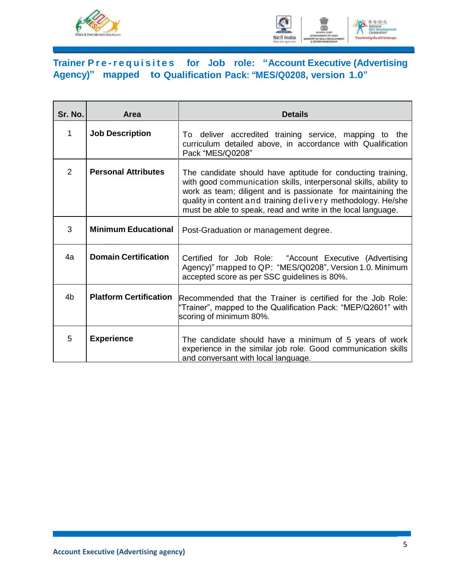



### **Trainer Pre -r e q u i s i t e s for Job role: "Account Executive (Advertising Agency)" mapped to Qualification Pack: "MES/Q0208, version 1.0"**

| Sr. No. | <b>Area</b>                   | <b>Details</b>                                                                                                                                                                                                                                                                                                                  |
|---------|-------------------------------|---------------------------------------------------------------------------------------------------------------------------------------------------------------------------------------------------------------------------------------------------------------------------------------------------------------------------------|
| 1       | <b>Job Description</b>        | To deliver accredited training service, mapping to the<br>curriculum detailed above, in accordance with Qualification<br>Pack "MES/Q0208"                                                                                                                                                                                       |
| 2       | <b>Personal Attributes</b>    | The candidate should have aptitude for conducting training,<br>with good communication skills, interpersonal skills, ability to<br>work as team; diligent and is passionate for maintaining the<br>quality in content and training delivery methodology. He/she<br>must be able to speak, read and write in the local language. |
| 3       | <b>Minimum Educational</b>    | Post-Graduation or management degree.                                                                                                                                                                                                                                                                                           |
| 4a      | <b>Domain Certification</b>   | Certified for Job Role: "Account Executive (Advertising<br>Agency)" mapped to QP: "MES/Q0208", Version 1.0. Minimum<br>accepted score as per SSC guidelines is 80%.                                                                                                                                                             |
| 4b      | <b>Platform Certification</b> | Recommended that the Trainer is certified for the Job Role:<br>"Trainer", mapped to the Qualification Pack: "MEP/Q2601" with<br>scoring of minimum 80%.                                                                                                                                                                         |
| 5       | <b>Experience</b>             | The candidate should have a minimum of 5 years of work<br>experience in the similar job role. Good communication skills<br>and conversant with local language.                                                                                                                                                                  |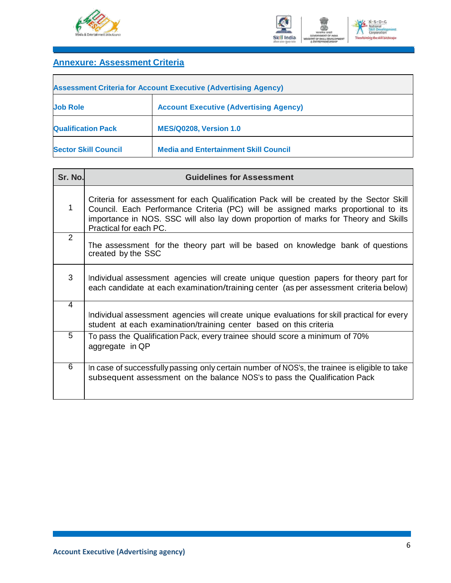



### **Annexure: Assessment Criteria**

| <b>Assessment Criteria for Account Executive (Advertising Agency)</b> |                                               |  |  |  |
|-----------------------------------------------------------------------|-----------------------------------------------|--|--|--|
| <b>Job Role</b>                                                       | <b>Account Executive (Advertising Agency)</b> |  |  |  |
| <b>Qualification Pack</b>                                             | <b>MES/Q0208, Version 1.0</b>                 |  |  |  |
| <b>Sector Skill Council</b>                                           | <b>Media and Entertainment Skill Council</b>  |  |  |  |

| Sr. No.        | <b>Guidelines for Assessment</b>                                                                                                                                                                                                                                                               |
|----------------|------------------------------------------------------------------------------------------------------------------------------------------------------------------------------------------------------------------------------------------------------------------------------------------------|
| 1              | Criteria for assessment for each Qualification Pack will be created by the Sector Skill<br>Council. Each Performance Criteria (PC) will be assigned marks proportional to its<br>importance in NOS. SSC will also lay down proportion of marks for Theory and Skills<br>Practical for each PC. |
| 2              | The assessment for the theory part will be based on knowledge bank of questions<br>created by the SSC                                                                                                                                                                                          |
| 3              | Individual assessment agencies will create unique question papers for theory part for<br>each candidate at each examination/training center (as per assessment criteria below)                                                                                                                 |
| $\overline{4}$ | Individual assessment agencies will create unique evaluations for skill practical for every<br>student at each examination/training center based on this criteria                                                                                                                              |
| 5              | To pass the Qualification Pack, every trainee should score a minimum of 70%<br>aggregate in QP                                                                                                                                                                                                 |
| 6              | In case of successfully passing only certain number of NOS's, the trainee is eligible to take<br>subsequent assessment on the balance NOS's to pass the Qualification Pack                                                                                                                     |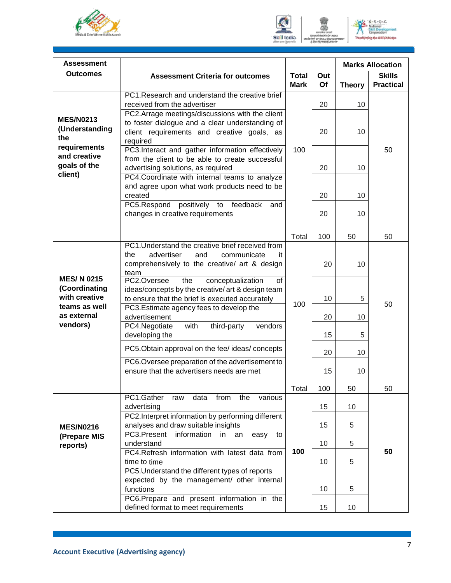



 $N \cdot S \cdot D \cdot C$ National<br>Skill Dev<br>Corporat ig the skill la

| <b>Assessment</b>                                                   |                                                                                                                                                                                                   |              |          |                     | <b>Marks Allocation</b> |
|---------------------------------------------------------------------|---------------------------------------------------------------------------------------------------------------------------------------------------------------------------------------------------|--------------|----------|---------------------|-------------------------|
| <b>Outcomes</b>                                                     | <b>Assessment Criteria for outcomes</b>                                                                                                                                                           | <b>Total</b> | Out      |                     | <b>Skills</b>           |
|                                                                     | PC1. Research and understand the creative brief<br>received from the advertiser                                                                                                                   | <b>Mark</b>  | Of<br>20 | <b>Theory</b><br>10 | <b>Practical</b>        |
| <b>MES/N0213</b><br>(Understanding<br>the                           | PC2.Arrage meetings/discussions with the client<br>to foster dialogue and a clear understanding of<br>client requirements and creative goals, as<br>required                                      |              | 20       | 10                  |                         |
| requirements<br>and creative<br>goals of the<br>client)             | PC3.Interact and gather information effectively<br>from the client to be able to create successful<br>advertising solutions, as required<br>PC4.Coordinate with internal teams to analyze         | 100          | 20       | 10                  | 50                      |
|                                                                     | and agree upon what work products need to be<br>created                                                                                                                                           |              | 20       | 10                  |                         |
|                                                                     | PC5.Respond<br>positively to<br>feedback<br>and<br>changes in creative requirements                                                                                                               |              | 20       | 10                  |                         |
|                                                                     |                                                                                                                                                                                                   | Total        | 100      | 50                  | 50                      |
|                                                                     | PC1. Understand the creative brief received from<br>advertiser<br>and<br>the<br>communicate<br>it<br>comprehensively to the creative/ art & design<br>team                                        |              | 20       | 10                  |                         |
| <b>MES/N0215</b><br>(Coordinating<br>with creative<br>teams as well | PC2.Oversee<br>the<br>conceptualization<br>of<br>ideas/concepts by the creative/ art & design team<br>to ensure that the brief is executed accurately<br>PC3. Estimate agency fees to develop the | 100          | 10       | 5                   | 50                      |
| as external<br>vendors)                                             | advertisement<br>PC4.Negotiate<br>with<br>third-party<br>vendors                                                                                                                                  |              | 20       | 10                  |                         |
|                                                                     | developing the<br>PC5. Obtain approval on the fee/ ideas/ concepts<br>PC6. Oversee preparation of the advertisement to                                                                            |              | 15<br>20 | 5<br>10             |                         |
|                                                                     | ensure that the advertisers needs are met                                                                                                                                                         |              | 15       | 10                  |                         |
|                                                                     |                                                                                                                                                                                                   | Total        | 100      | 50                  | 50                      |
|                                                                     | PC1.Gather<br>from<br>data<br>the<br>various<br>raw<br>advertising                                                                                                                                |              | 15       | 10                  |                         |
| <b>MES/N0216</b>                                                    | PC2. Interpret information by performing different<br>analyses and draw suitable insights                                                                                                         |              | 15       | 5                   |                         |
| (Prepare MIS<br>reports)                                            | PC3.Present<br>information<br>in<br>easy<br>an<br>to<br>understand                                                                                                                                |              | 10       | 5                   |                         |
|                                                                     | PC4.Refresh information with latest data from<br>time to time                                                                                                                                     | 100          | 10       | 5                   | 50                      |
|                                                                     | PC5. Understand the different types of reports<br>expected by the management/ other internal<br>functions                                                                                         |              | 10       | 5                   |                         |
|                                                                     | PC6.Prepare and present information in the<br>defined format to meet requirements                                                                                                                 |              | 15       | 10                  |                         |